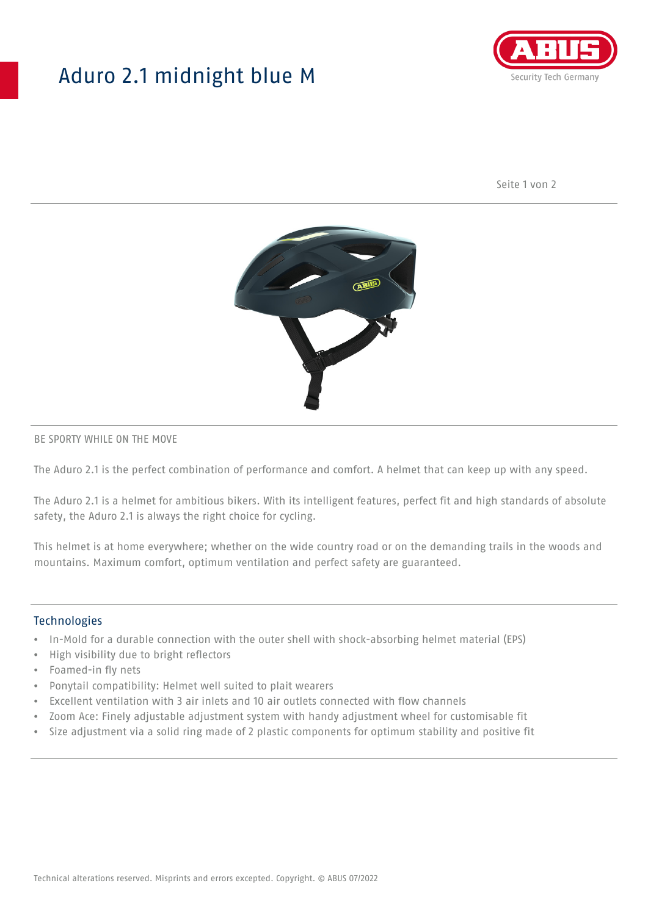## Aduro 2.1 midnight blue M



Seite 1 von 2



#### BE SPORTY WHILE ON THE MOVE

The Aduro 2.1 is the perfect combination of performance and comfort. A helmet that can keep up with any speed.

The Aduro 2.1 is a helmet for ambitious bikers. With its intelligent features, perfect fit and high standards of absolute safety, the Aduro 2.1 is always the right choice for cycling.

This helmet is at home everywhere; whether on the wide country road or on the demanding trails in the woods and mountains. Maximum comfort, optimum ventilation and perfect safety are guaranteed.

#### Technologies

- In-Mold for a durable connection with the outer shell with shock-absorbing helmet material (EPS)
- High visibility due to bright reflectors
- Foamed-in fly nets
- Ponytail compatibility: Helmet well suited to plait wearers
- Excellent ventilation with 3 air inlets and 10 air outlets connected with flow channels
- Zoom Ace: Finely adjustable adjustment system with handy adjustment wheel for customisable fit
- Size adjustment via a solid ring made of 2 plastic components for optimum stability and positive fit